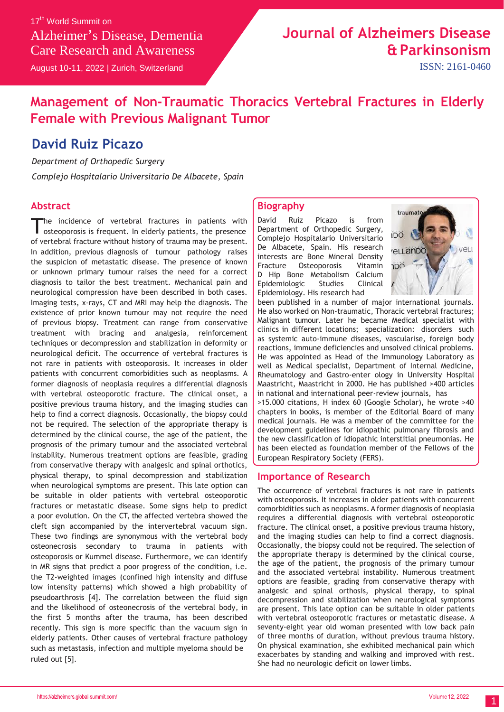17<sup>th</sup> World Summit on Alzheimer's Disease, Dementia Care Research and Awareness

August 10-11, 2022 | Zurich, Switzerland

# **Journal of Alzheimers Disease & Parkinsonism**

ISSN: 2161-0460

## **Management of Non-Traumatic Thoracics Vertebral Fractures in Elderly Female with Previous Malignant Tumor**

## **David Ruiz Picazo**

*Department of Orthopedic Surgery*

*Complejo Hospitalario Universitario De Albacete, Spain*

### **Abstract**

he incidence of vertebral fractures in patients with osteoporosis is frequent. In elderly patients, the presence of vertebral fracture without history of trauma may be present. In addition, previous diagnosis of tumour pathology raises the suspicion of metastatic disease. The presence of known or unknown primary tumour raises the need for a correct diagnosis to tailor the best treatment. Mechanical pain and neurological compression have been described in both cases. Imaging tests, x-rays, CT and MRI may help the diagnosis. The existence of prior known tumour may not require the need of previous biopsy. Treatment can range from conservative treatment with bracing and analgesia, reinforcement techniques or decompression and stabilization in deformity or neurological deficit. The occurrence of vertebral fractures is not rare in patients with osteoporosis. It increases in older patients with concurrent comorbidities such as neoplasms. A former diagnosis of neoplasia requires a differential diagnosis with vertebral osteoporotic fracture. The clinical onset, a positive previous trauma history, and the imaging studies can help to find a correct diagnosis. Occasionally, the biopsy could not be required. The selection of the appropriate therapy is determined by the clinical course, the age of the patient, the prognosis of the primary tumour and the associated vertebral instability. Numerous treatment options are feasible, grading from conservative therapy with analgesic and spinal orthotics, physical therapy, to spinal decompression and stabilization when neurological symptoms are present. This late option can be suitable in older patients with vertebral osteoporotic fractures or metastatic disease. Some signs help to predict a poor evolution. On the CT, the affected vertebra showed the cleft sign accompanied by the intervertebral vacuum sign. These two findings are synonymous with the vertebral body osteonecrosis secondary to trauma in patients with osteoporosis or Kummel disease. Furthermore, we can identify in MR signs that predict a poor progress of the condition, i.e. the T2-weighted images (confined high intensity and diffuse low intensity patterns) which showed a high probability of pseudoarthrosis [4]. The correlation between the fluid sign and the likelihood of osteonecrosis of the vertebral body, in the first 5 months after the trauma, has been described recently. This sign is more specific than the vacuum sign in elderly patients. Other causes of vertebral fracture pathology such as metastasis, infection and multiple myeloma should be ruled out [5].

### **Biography**

David Ruiz Picazo is from Department of Orthopedic Surgery, Complejo Hospitalario Universitario De Albacete, Spain. His research interests are Bone Mineral Density Fracture Osteoporosis Vitamin D Hip Bone Metabolism Calcium Epidemiologic Studies Clinical Epidemiology. His research had



been published in a number of major international journals. He also worked on Non-traumatic, Thoracic vertebral fractures; Malignant tumour. Later he became Medical specialist with clinics in different locations; specialization: disorders such as systemic auto-immune diseases, vascularise, foreign body reactions, immune deficiencies and unsolved clinical problems. He was appointed as Head of the Immunology Laboratory as well as Medical specialist, Department of Internal Medicine, Rheumatology and Gastro-enter ology in University Hospital Maastricht, Maastricht in 2000. He has published >400 articles in national and international peer-review journals, has >15.000 citations, H index 60 (Google Scholar), he wrote >40 chapters in books, is member of the Editorial Board of many medical journals. He was a member of the committee for the development guidelines for idiopathic pulmonary fibrosis and the new classification of idiopathic interstitial pneumonias. He has been elected as foundation member of the Fellows of the European Respiratory Society (FERS).

#### **Importance of Research**

The occurrence of vertebral fractures is not rare in patients with osteoporosis. It increases in older patients with concurrent comorbidities such as neoplasms. A former diagnosis of neoplasia requires a differential diagnosis with vertebral osteoporotic fracture. The clinical onset, a positive previous trauma history, and the imaging studies can help to find a correct diagnosis. Occasionally, the biopsy could not be required. The selection of the appropriate therapy is determined by the clinical course, the age of the patient, the prognosis of the primary tumour and the associated vertebral instability. Numerous treatment options are feasible, grading from conservative therapy with analgesic and spinal orthosis, physical therapy, to spinal decompression and stabilization when neurological symptoms are present. This late option can be suitable in older patients with vertebral osteoporotic fractures or metastatic disease. A seventy-eight year old woman presented with low back pain of three months of duration, without previous trauma history. On physical examination, she exhibited mechanical pain which exacerbates by standing and walking and improved with rest. She had no neurologic deficit on lower limbs.

1